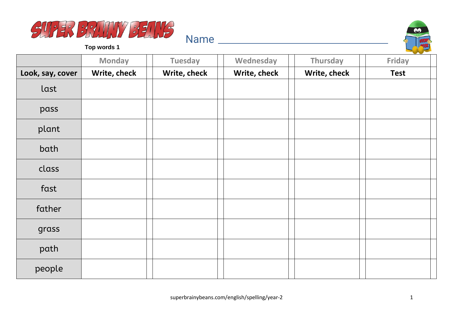



|                  | <b>Monday</b> | <b>Tuesday</b> | Wednesday    | Thursday     | <b>Friday</b> |
|------------------|---------------|----------------|--------------|--------------|---------------|
| Look, say, cover | Write, check  | Write, check   | Write, check | Write, check | <b>Test</b>   |
| last             |               |                |              |              |               |
| pass             |               |                |              |              |               |
| plant            |               |                |              |              |               |
| bath             |               |                |              |              |               |
| class            |               |                |              |              |               |
| fast             |               |                |              |              |               |
| father           |               |                |              |              |               |
| grass            |               |                |              |              |               |
| path             |               |                |              |              |               |
| people           |               |                |              |              |               |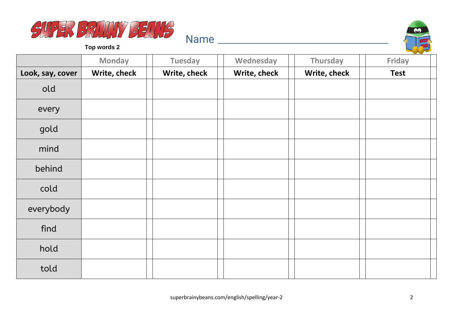



|                  | <b>Monday</b> | <b>Tuesday</b> | Wednesday    | Thursday     | Friday      |
|------------------|---------------|----------------|--------------|--------------|-------------|
| Look, say, cover | Write, check  | Write, check   | Write, check | Write, check | <b>Test</b> |
| old              |               |                |              |              |             |
| every            |               |                |              |              |             |
| gold             |               |                |              |              |             |
| mind             |               |                |              |              |             |
| behind           |               |                |              |              |             |
| cold             |               |                |              |              |             |
| everybody        |               |                |              |              |             |
| find             |               |                |              |              |             |
| hold             |               |                |              |              |             |
| told             |               |                |              |              |             |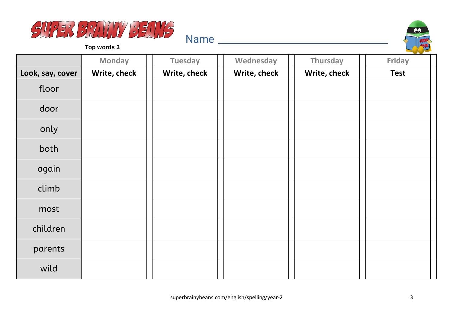



|                  | <b>Monday</b> | <b>Tuesday</b> | Wednesday    | Thursday     | <b>Friday</b> |
|------------------|---------------|----------------|--------------|--------------|---------------|
| Look, say, cover | Write, check  | Write, check   | Write, check | Write, check | <b>Test</b>   |
| floor            |               |                |              |              |               |
| door             |               |                |              |              |               |
| only             |               |                |              |              |               |
| both             |               |                |              |              |               |
| again            |               |                |              |              |               |
| climb            |               |                |              |              |               |
| most             |               |                |              |              |               |
| children         |               |                |              |              |               |
| parents          |               |                |              |              |               |
| wild             |               |                |              |              |               |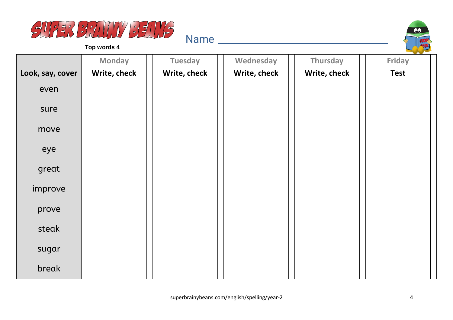



|                  | <b>Monday</b> | <b>Tuesday</b> | Wednesday    | Thursday     | <b>Friday</b> |
|------------------|---------------|----------------|--------------|--------------|---------------|
| Look, say, cover | Write, check  | Write, check   | Write, check | Write, check | <b>Test</b>   |
| even             |               |                |              |              |               |
| sure             |               |                |              |              |               |
| move             |               |                |              |              |               |
| eye              |               |                |              |              |               |
| great            |               |                |              |              |               |
| improve          |               |                |              |              |               |
| prove            |               |                |              |              |               |
| steak            |               |                |              |              |               |
| sugar            |               |                |              |              |               |
| break            |               |                |              |              |               |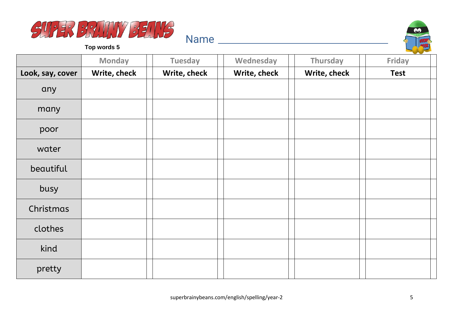



|                  | <b>Monday</b> | <b>Tuesday</b> | Wednesday    | Thursday     | <b>Friday</b> |
|------------------|---------------|----------------|--------------|--------------|---------------|
| Look, say, cover | Write, check  | Write, check   | Write, check | Write, check | <b>Test</b>   |
| any              |               |                |              |              |               |
| many             |               |                |              |              |               |
| poor             |               |                |              |              |               |
| water            |               |                |              |              |               |
| beautiful        |               |                |              |              |               |
| busy             |               |                |              |              |               |
| Christmas        |               |                |              |              |               |
| clothes          |               |                |              |              |               |
| kind             |               |                |              |              |               |
| pretty           |               |                |              |              |               |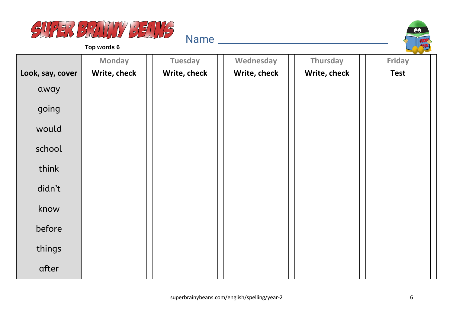



|                  | <b>Monday</b> | <b>Tuesday</b> | Wednesday    | Thursday     | <b>Friday</b> |
|------------------|---------------|----------------|--------------|--------------|---------------|
| Look, say, cover | Write, check  | Write, check   | Write, check | Write, check | <b>Test</b>   |
| away             |               |                |              |              |               |
| going            |               |                |              |              |               |
| would            |               |                |              |              |               |
| school           |               |                |              |              |               |
| think            |               |                |              |              |               |
| didn't           |               |                |              |              |               |
| know             |               |                |              |              |               |
| before           |               |                |              |              |               |
| things           |               |                |              |              |               |
| after            |               |                |              |              |               |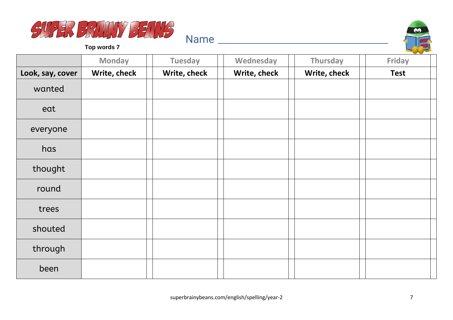



|                  | <b>Monday</b> | <b>Tuesday</b> | Wednesday    | Thursday     | Friday      |
|------------------|---------------|----------------|--------------|--------------|-------------|
| Look, say, cover | Write, check  | Write, check   | Write, check | Write, check | <b>Test</b> |
| wanted           |               |                |              |              |             |
| eat              |               |                |              |              |             |
| everyone         |               |                |              |              |             |
| has              |               |                |              |              |             |
| thought          |               |                |              |              |             |
| round            |               |                |              |              |             |
| trees            |               |                |              |              |             |
| shouted          |               |                |              |              |             |
| through          |               |                |              |              |             |
| been             |               |                |              |              |             |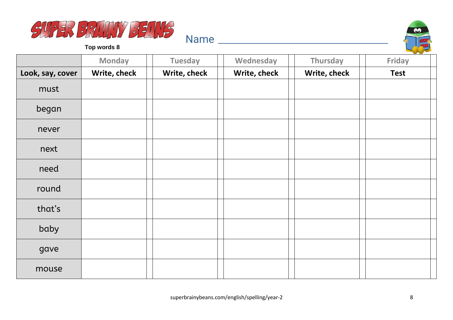



|                  | <b>Monday</b> | <b>Tuesday</b> | Wednesday    | Thursday     | <b>Friday</b> |
|------------------|---------------|----------------|--------------|--------------|---------------|
| Look, say, cover | Write, check  | Write, check   | Write, check | Write, check | <b>Test</b>   |
| must             |               |                |              |              |               |
| began            |               |                |              |              |               |
| never            |               |                |              |              |               |
| next             |               |                |              |              |               |
| need             |               |                |              |              |               |
| round            |               |                |              |              |               |
| that's           |               |                |              |              |               |
| baby             |               |                |              |              |               |
| gave             |               |                |              |              |               |
| mouse            |               |                |              |              |               |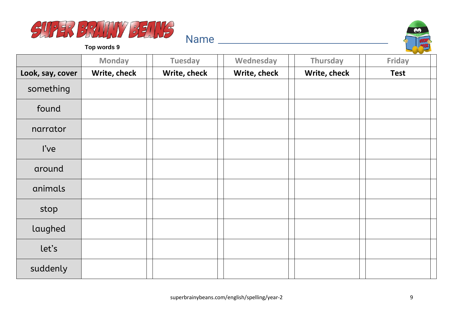



|                  | <b>Monday</b> | <b>Tuesday</b> | Wednesday    | Thursday     | <b>Friday</b> |
|------------------|---------------|----------------|--------------|--------------|---------------|
| Look, say, cover | Write, check  | Write, check   | Write, check | Write, check | <b>Test</b>   |
| something        |               |                |              |              |               |
| found            |               |                |              |              |               |
| narrator         |               |                |              |              |               |
| l've             |               |                |              |              |               |
| around           |               |                |              |              |               |
| animals          |               |                |              |              |               |
| stop             |               |                |              |              |               |
| laughed          |               |                |              |              |               |
| let's            |               |                |              |              |               |
| suddenly         |               |                |              |              |               |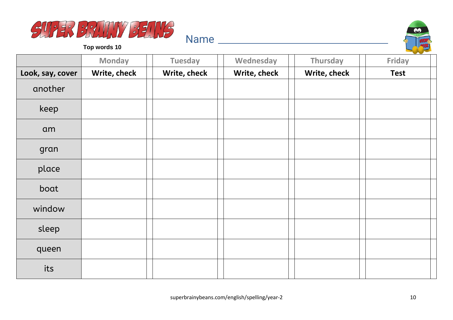



|                  | <b>Monday</b> | <b>Tuesday</b> | Wednesday    | Thursday     | Friday      |
|------------------|---------------|----------------|--------------|--------------|-------------|
| Look, say, cover | Write, check  | Write, check   | Write, check | Write, check | <b>Test</b> |
| another          |               |                |              |              |             |
| keep             |               |                |              |              |             |
| am               |               |                |              |              |             |
| gran             |               |                |              |              |             |
| place            |               |                |              |              |             |
| boat             |               |                |              |              |             |
| window           |               |                |              |              |             |
| sleep            |               |                |              |              |             |
| queen            |               |                |              |              |             |
| its              |               |                |              |              |             |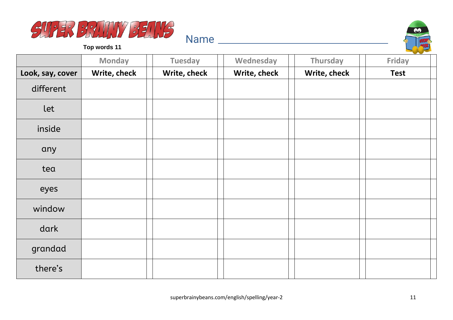



|                  | <b>Monday</b> | <b>Tuesday</b> | Wednesday    | Thursday     | $\sim$<br><b>Friday</b> |
|------------------|---------------|----------------|--------------|--------------|-------------------------|
| Look, say, cover | Write, check  | Write, check   | Write, check | Write, check | <b>Test</b>             |
| different        |               |                |              |              |                         |
| let              |               |                |              |              |                         |
| inside           |               |                |              |              |                         |
| any              |               |                |              |              |                         |
| tea              |               |                |              |              |                         |
| eyes             |               |                |              |              |                         |
| window           |               |                |              |              |                         |
| dark             |               |                |              |              |                         |
| grandad          |               |                |              |              |                         |
| there's          |               |                |              |              |                         |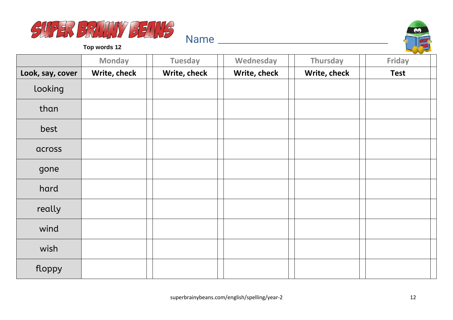



|                  | <b>Monday</b> | <b>Tuesday</b> | Wednesday    | Thursday     | Friday      |
|------------------|---------------|----------------|--------------|--------------|-------------|
| Look, say, cover | Write, check  | Write, check   | Write, check | Write, check | <b>Test</b> |
| looking          |               |                |              |              |             |
| than             |               |                |              |              |             |
| best             |               |                |              |              |             |
| across           |               |                |              |              |             |
| gone             |               |                |              |              |             |
| hard             |               |                |              |              |             |
| really           |               |                |              |              |             |
| wind             |               |                |              |              |             |
| wish             |               |                |              |              |             |
| floppy           |               |                |              |              |             |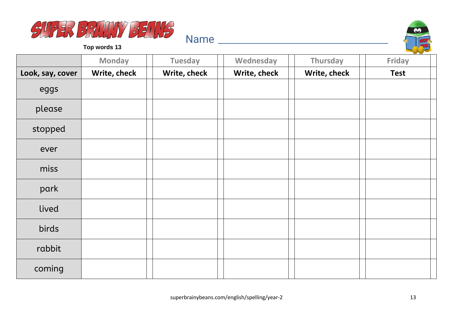



|                  | <b>Monday</b> | <b>Tuesday</b> | Wednesday    | Thursday     | $\sim$<br><b>Friday</b> |
|------------------|---------------|----------------|--------------|--------------|-------------------------|
| Look, say, cover | Write, check  | Write, check   | Write, check | Write, check | <b>Test</b>             |
| eggs             |               |                |              |              |                         |
| please           |               |                |              |              |                         |
| stopped          |               |                |              |              |                         |
| ever             |               |                |              |              |                         |
| miss             |               |                |              |              |                         |
| park             |               |                |              |              |                         |
| lived            |               |                |              |              |                         |
| birds            |               |                |              |              |                         |
| rabbit           |               |                |              |              |                         |
| coming           |               |                |              |              |                         |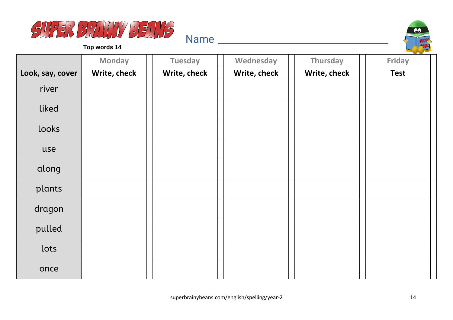



|                  | <b>Monday</b> | <b>Tuesday</b> | Wednesday    | Thursday     | Friday      |
|------------------|---------------|----------------|--------------|--------------|-------------|
| Look, say, cover | Write, check  | Write, check   | Write, check | Write, check | <b>Test</b> |
| river            |               |                |              |              |             |
| liked            |               |                |              |              |             |
| looks            |               |                |              |              |             |
| use              |               |                |              |              |             |
| along            |               |                |              |              |             |
| plants           |               |                |              |              |             |
| dragon           |               |                |              |              |             |
| pulled           |               |                |              |              |             |
| lots             |               |                |              |              |             |
| once             |               |                |              |              |             |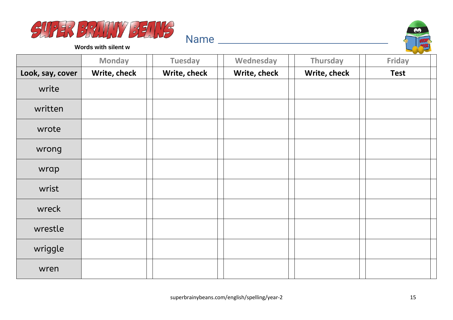



**Words with silent w**

|                  | <b>Monday</b> | <b>Tuesday</b> | Wednesday    | Thursday     | Friday      |
|------------------|---------------|----------------|--------------|--------------|-------------|
| Look, say, cover | Write, check  | Write, check   | Write, check | Write, check | <b>Test</b> |
| write            |               |                |              |              |             |
| written          |               |                |              |              |             |
| wrote            |               |                |              |              |             |
| wrong            |               |                |              |              |             |
| wrap             |               |                |              |              |             |
| wrist            |               |                |              |              |             |
| wreck            |               |                |              |              |             |
| wrestle          |               |                |              |              |             |
| wriggle          |               |                |              |              |             |
| wren             |               |                |              |              |             |

Name and the set of the set of the set of the set of the set of the set of the set of the set of the set of the set of the set of the set of the set of the set of the set of the set of the set of the set of the set of the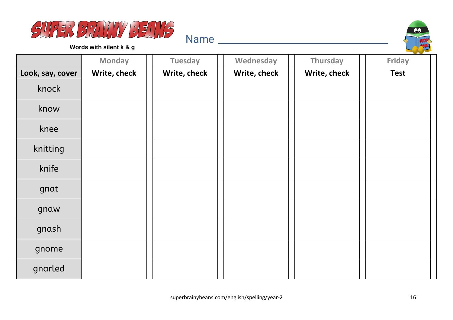



**Words with silent k & g**

|                  | <b>Monday</b> | <b>Tuesday</b> | Wednesday    | <b>Thursday</b> | Friday      |
|------------------|---------------|----------------|--------------|-----------------|-------------|
| Look, say, cover | Write, check  | Write, check   | Write, check | Write, check    | <b>Test</b> |
| knock            |               |                |              |                 |             |
| know             |               |                |              |                 |             |
| knee             |               |                |              |                 |             |
| knitting         |               |                |              |                 |             |
| knife            |               |                |              |                 |             |
| gnat             |               |                |              |                 |             |
| gnaw             |               |                |              |                 |             |
| gnash            |               |                |              |                 |             |
| gnome            |               |                |              |                 |             |
| gnarled          |               |                |              |                 |             |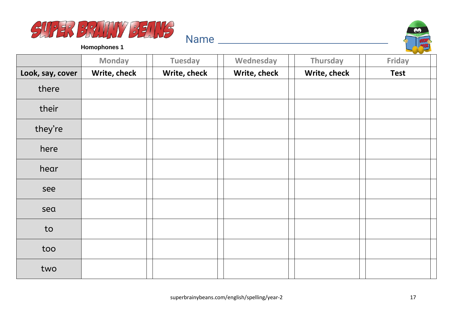



**Homophones 1**

|                  | <b>Monday</b> | <b>Tuesday</b> | Wednesday    | Thursday     | <b>Friday</b> |
|------------------|---------------|----------------|--------------|--------------|---------------|
| Look, say, cover | Write, check  | Write, check   | Write, check | Write, check | <b>Test</b>   |
| there            |               |                |              |              |               |
| their            |               |                |              |              |               |
| they're          |               |                |              |              |               |
| here             |               |                |              |              |               |
| hear             |               |                |              |              |               |
| see              |               |                |              |              |               |
| sea              |               |                |              |              |               |
| to               |               |                |              |              |               |
| too              |               |                |              |              |               |
| two              |               |                |              |              |               |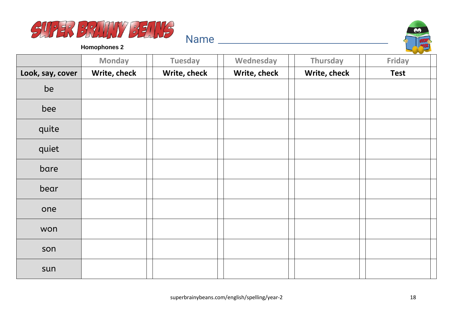



**Homophones 2**

|                  | <b>Monday</b> | <b>Tuesday</b> | Wednesday    | Thursday     | $\sim$<br>Friday |
|------------------|---------------|----------------|--------------|--------------|------------------|
| Look, say, cover | Write, check  | Write, check   | Write, check | Write, check | <b>Test</b>      |
| be               |               |                |              |              |                  |
| bee              |               |                |              |              |                  |
| quite            |               |                |              |              |                  |
| quiet            |               |                |              |              |                  |
| bare             |               |                |              |              |                  |
| bear             |               |                |              |              |                  |
| one              |               |                |              |              |                  |
| won              |               |                |              |              |                  |
| son              |               |                |              |              |                  |
| sun              |               |                |              |              |                  |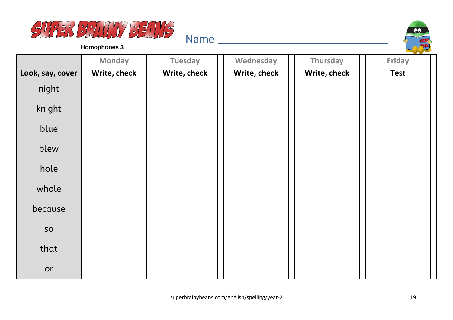



**Homophones 3**

|                  | <b>Monday</b> | <b>Tuesday</b> | Wednesday    | Thursday     | Friday      |
|------------------|---------------|----------------|--------------|--------------|-------------|
| Look, say, cover | Write, check  | Write, check   | Write, check | Write, check | <b>Test</b> |
| night            |               |                |              |              |             |
| knight           |               |                |              |              |             |
| blue             |               |                |              |              |             |
| blew             |               |                |              |              |             |
| hole             |               |                |              |              |             |
| whole            |               |                |              |              |             |
| because          |               |                |              |              |             |
| SO               |               |                |              |              |             |
| that             |               |                |              |              |             |
| or               |               |                |              |              |             |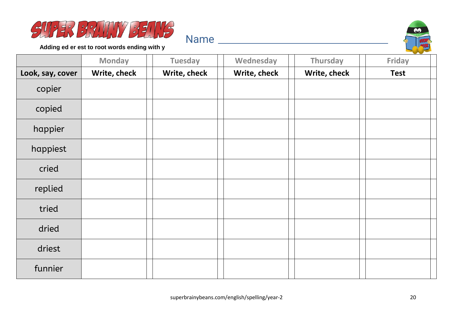



**Adding ed er est to root words ending with y**

|                  | <b>Monday</b> | <b>Tuesday</b> | Wednesday    | Thursday     | Friday      |
|------------------|---------------|----------------|--------------|--------------|-------------|
| Look, say, cover | Write, check  | Write, check   | Write, check | Write, check | <b>Test</b> |
| copier           |               |                |              |              |             |
| copied           |               |                |              |              |             |
| happier          |               |                |              |              |             |
| happiest         |               |                |              |              |             |
| cried            |               |                |              |              |             |
| replied          |               |                |              |              |             |
| tried            |               |                |              |              |             |
| dried            |               |                |              |              |             |
| driest           |               |                |              |              |             |
| funnier          |               |                |              |              |             |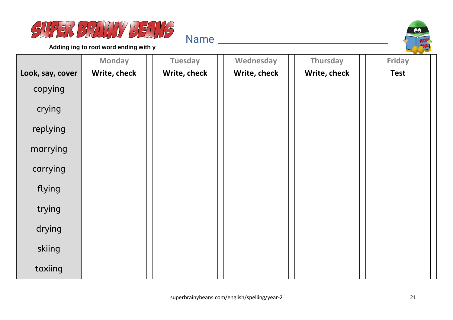



**Adding ing to root word ending with y**

|                  | <b>Monday</b> | <b>Tuesday</b> | Wednesday    | Thursday     | Friday      |
|------------------|---------------|----------------|--------------|--------------|-------------|
| Look, say, cover | Write, check  | Write, check   | Write, check | Write, check | <b>Test</b> |
| copying          |               |                |              |              |             |
| crying           |               |                |              |              |             |
| replying         |               |                |              |              |             |
| marrying         |               |                |              |              |             |
| carrying         |               |                |              |              |             |
| flying           |               |                |              |              |             |
| trying           |               |                |              |              |             |
| drying           |               |                |              |              |             |
| skiing           |               |                |              |              |             |
| taxiing          |               |                |              |              |             |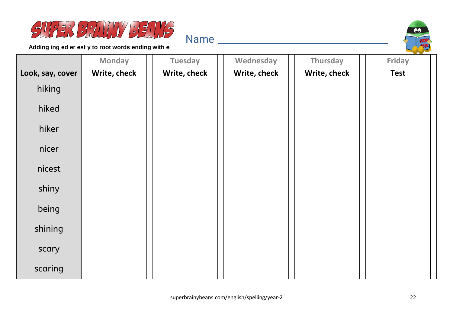



**Adding ing ed er est y to root words ending with e**

|                  | <b>Monday</b> | <b>Tuesday</b> | Wednesday    | Thursday     | Friday      |
|------------------|---------------|----------------|--------------|--------------|-------------|
| Look, say, cover | Write, check  | Write, check   | Write, check | Write, check | <b>Test</b> |
| hiking           |               |                |              |              |             |
| hiked            |               |                |              |              |             |
| hiker            |               |                |              |              |             |
| nicer            |               |                |              |              |             |
| nicest           |               |                |              |              |             |
| shiny            |               |                |              |              |             |
| being            |               |                |              |              |             |
| shining          |               |                |              |              |             |
| scary            |               |                |              |              |             |
| scaring          |               |                |              |              |             |

Name and the second state of the second state of the second state  $\sim$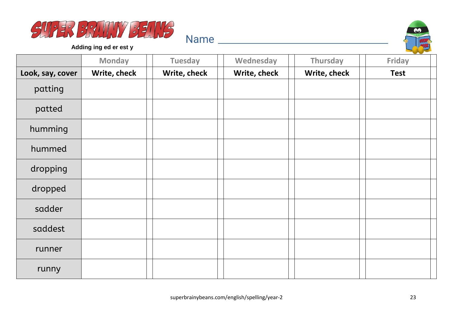



**Adding ing ed er est y**

|                  | <b>Monday</b> | <b>Tuesday</b> | Wednesday    | Thursday     | Friday      |
|------------------|---------------|----------------|--------------|--------------|-------------|
| Look, say, cover | Write, check  | Write, check   | Write, check | Write, check | <b>Test</b> |
| patting          |               |                |              |              |             |
| patted           |               |                |              |              |             |
| humming          |               |                |              |              |             |
| hummed           |               |                |              |              |             |
| dropping         |               |                |              |              |             |
| dropped          |               |                |              |              |             |
| sadder           |               |                |              |              |             |
| saddest          |               |                |              |              |             |
| runner           |               |                |              |              |             |
| runny            |               |                |              |              |             |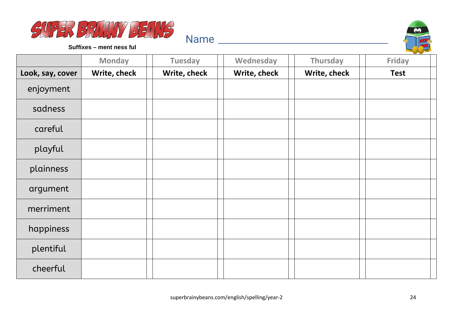



**Suffixes – ment ness ful**

|                  | <b>Monday</b> | <b>Tuesday</b> | Wednesday    | Thursday     | Friday      |
|------------------|---------------|----------------|--------------|--------------|-------------|
| Look, say, cover | Write, check  | Write, check   | Write, check | Write, check | <b>Test</b> |
| enjoyment        |               |                |              |              |             |
| sadness          |               |                |              |              |             |
| careful          |               |                |              |              |             |
| playful          |               |                |              |              |             |
| plainness        |               |                |              |              |             |
| argument         |               |                |              |              |             |
| merriment        |               |                |              |              |             |
| happiness        |               |                |              |              |             |
| plentiful        |               |                |              |              |             |
| cheerful         |               |                |              |              |             |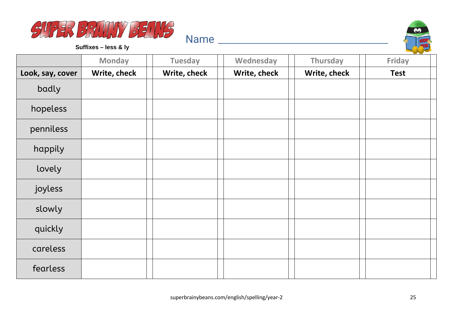



**Suffixes – less & ly**

|                  | <b>Monday</b> | <b>Tuesday</b> | Wednesday    | Thursday     | __<br><b>Friday</b> |
|------------------|---------------|----------------|--------------|--------------|---------------------|
| Look, say, cover | Write, check  | Write, check   | Write, check | Write, check | <b>Test</b>         |
| badly            |               |                |              |              |                     |
| hopeless         |               |                |              |              |                     |
| penniless        |               |                |              |              |                     |
| happily          |               |                |              |              |                     |
| lovely           |               |                |              |              |                     |
| joyless          |               |                |              |              |                     |
| slowly           |               |                |              |              |                     |
| quickly          |               |                |              |              |                     |
| careless         |               |                |              |              |                     |
| fearless         |               |                |              |              |                     |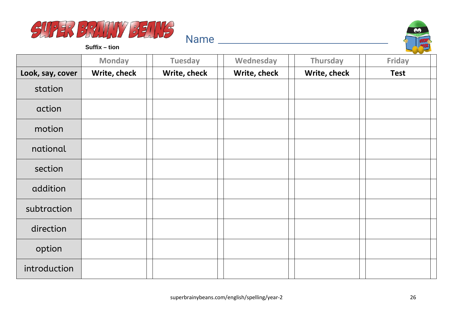



**Suffix – tion**

|                  | <b>Monday</b> | <b>Tuesday</b> | Wednesday    | Thursday     | and the state of the con-<br>Friday |
|------------------|---------------|----------------|--------------|--------------|-------------------------------------|
| Look, say, cover | Write, check  | Write, check   | Write, check | Write, check | <b>Test</b>                         |
| station          |               |                |              |              |                                     |
| action           |               |                |              |              |                                     |
| motion           |               |                |              |              |                                     |
| national         |               |                |              |              |                                     |
| section          |               |                |              |              |                                     |
| addition         |               |                |              |              |                                     |
| subtraction      |               |                |              |              |                                     |
| direction        |               |                |              |              |                                     |
| option           |               |                |              |              |                                     |
| introduction     |               |                |              |              |                                     |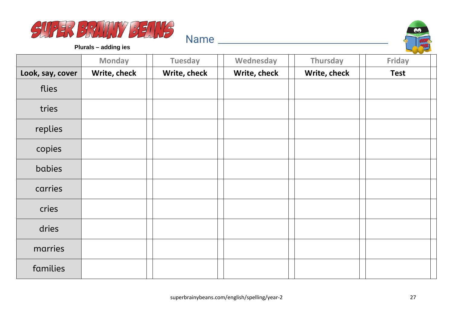



**Plurals – adding ies**

|                  | <b>Monday</b> | <b>Tuesday</b> | Wednesday    | Thursday     | <b>Contract Contract Contract</b><br><b>Friday</b> |
|------------------|---------------|----------------|--------------|--------------|----------------------------------------------------|
| Look, say, cover | Write, check  | Write, check   | Write, check | Write, check | <b>Test</b>                                        |
| flies            |               |                |              |              |                                                    |
| tries            |               |                |              |              |                                                    |
| replies          |               |                |              |              |                                                    |
| copies           |               |                |              |              |                                                    |
| babies           |               |                |              |              |                                                    |
| carries          |               |                |              |              |                                                    |
| cries            |               |                |              |              |                                                    |
| dries            |               |                |              |              |                                                    |
| marries          |               |                |              |              |                                                    |
| families         |               |                |              |              |                                                    |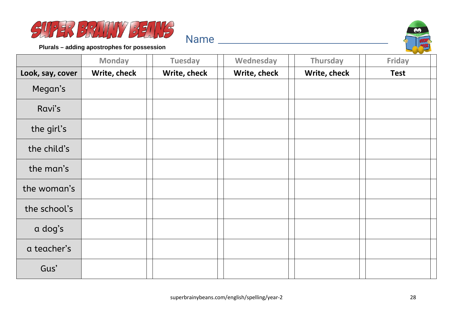



**Plurals – adding apostrophes for possession**

|                  | <b>Monday</b> | <b>Tuesday</b> | Wednesday    | <b>Thursday</b> | Friday      |
|------------------|---------------|----------------|--------------|-----------------|-------------|
| Look, say, cover | Write, check  | Write, check   | Write, check | Write, check    | <b>Test</b> |
| Megan's          |               |                |              |                 |             |
| Ravi's           |               |                |              |                 |             |
| the girl's       |               |                |              |                 |             |
| the child's      |               |                |              |                 |             |
| the man's        |               |                |              |                 |             |
| the woman's      |               |                |              |                 |             |
| the school's     |               |                |              |                 |             |
| a dog's          |               |                |              |                 |             |
| a teacher's      |               |                |              |                 |             |
| Gus'             |               |                |              |                 |             |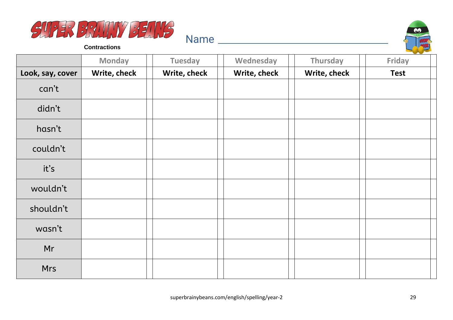



**Contractions**

|                  | <b>Monday</b> | <b>Tuesday</b> | Wednesday    | Thursday     | Friday      |
|------------------|---------------|----------------|--------------|--------------|-------------|
| Look, say, cover | Write, check  | Write, check   | Write, check | Write, check | <b>Test</b> |
| can't            |               |                |              |              |             |
| didn't           |               |                |              |              |             |
| hasn't           |               |                |              |              |             |
| couldn't         |               |                |              |              |             |
| it's             |               |                |              |              |             |
| wouldn't         |               |                |              |              |             |
| shouldn't        |               |                |              |              |             |
| wasn't           |               |                |              |              |             |
| Mr               |               |                |              |              |             |
| <b>Mrs</b>       |               |                |              |              |             |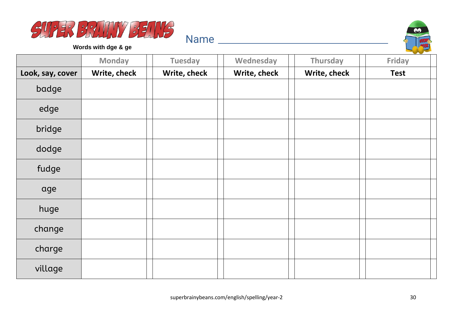



**Words with dge & ge**

|                  | <b>Monday</b> | <b>Tuesday</b> | Wednesday    | Thursday     | Friday      |
|------------------|---------------|----------------|--------------|--------------|-------------|
| Look, say, cover | Write, check  | Write, check   | Write, check | Write, check | <b>Test</b> |
| badge            |               |                |              |              |             |
| edge             |               |                |              |              |             |
| bridge           |               |                |              |              |             |
| dodge            |               |                |              |              |             |
| fudge            |               |                |              |              |             |
| age              |               |                |              |              |             |
| huge             |               |                |              |              |             |
| change           |               |                |              |              |             |
| charge           |               |                |              |              |             |
| village          |               |                |              |              |             |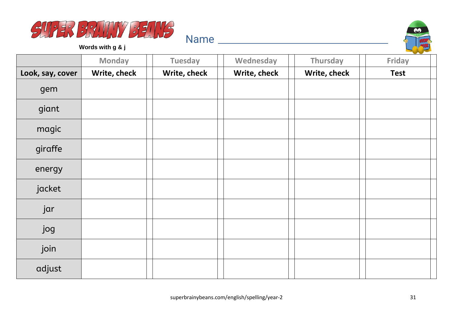



**Words with g & j**

|                  | <b>Monday</b> | <b>Tuesday</b> | Wednesday    | Thursday     | Friday      |
|------------------|---------------|----------------|--------------|--------------|-------------|
| Look, say, cover | Write, check  | Write, check   | Write, check | Write, check | <b>Test</b> |
| gem              |               |                |              |              |             |
| giant            |               |                |              |              |             |
| magic            |               |                |              |              |             |
| giraffe          |               |                |              |              |             |
| energy           |               |                |              |              |             |
| jacket           |               |                |              |              |             |
| jar              |               |                |              |              |             |
| jog              |               |                |              |              |             |
| join             |               |                |              |              |             |
| adjust           |               |                |              |              |             |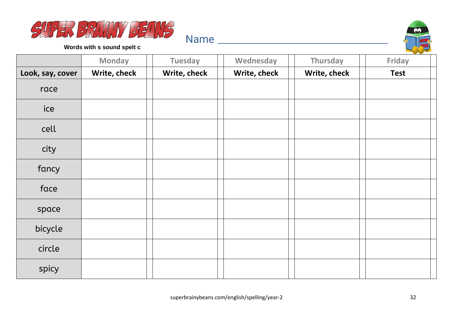



**Words with s sound spelt c**

|                  | <b>Monday</b> | <b>Tuesday</b> | Wednesday    | <b>Thursday</b> | Friday      |
|------------------|---------------|----------------|--------------|-----------------|-------------|
| Look, say, cover | Write, check  | Write, check   | Write, check | Write, check    | <b>Test</b> |
| race             |               |                |              |                 |             |
| ice              |               |                |              |                 |             |
| cell             |               |                |              |                 |             |
| city             |               |                |              |                 |             |
| fancy            |               |                |              |                 |             |
| face             |               |                |              |                 |             |
| space            |               |                |              |                 |             |
| bicycle          |               |                |              |                 |             |
| circle           |               |                |              |                 |             |
| spicy            |               |                |              |                 |             |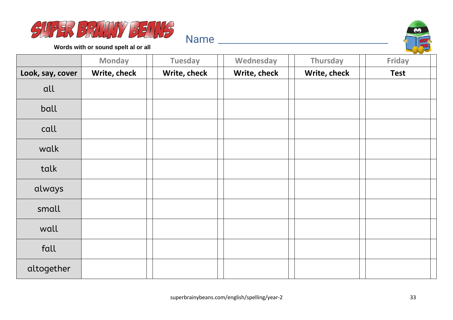



**Words with or sound spelt al or all**

|                  | <b>Monday</b> | <b>Tuesday</b> | Wednesday    | Thursday     | Friday      |
|------------------|---------------|----------------|--------------|--------------|-------------|
| Look, say, cover | Write, check  | Write, check   | Write, check | Write, check | <b>Test</b> |
| all              |               |                |              |              |             |
| ball             |               |                |              |              |             |
| call             |               |                |              |              |             |
| walk             |               |                |              |              |             |
| talk             |               |                |              |              |             |
| always           |               |                |              |              |             |
| small            |               |                |              |              |             |
| wall             |               |                |              |              |             |
| fall             |               |                |              |              |             |
| altogether       |               |                |              |              |             |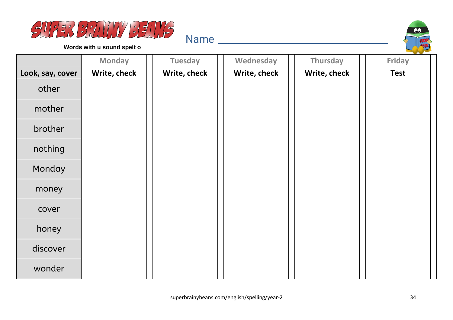



**Words with u sound spelt o**

|                  | <b>Monday</b> | <b>Tuesday</b> | Wednesday    | Thursday     | Friday      |
|------------------|---------------|----------------|--------------|--------------|-------------|
| Look, say, cover | Write, check  | Write, check   | Write, check | Write, check | <b>Test</b> |
| other            |               |                |              |              |             |
| mother           |               |                |              |              |             |
| brother          |               |                |              |              |             |
| nothing          |               |                |              |              |             |
| Monday           |               |                |              |              |             |
| money            |               |                |              |              |             |
| cover            |               |                |              |              |             |
| honey            |               |                |              |              |             |
| discover         |               |                |              |              |             |
| wonder           |               |                |              |              |             |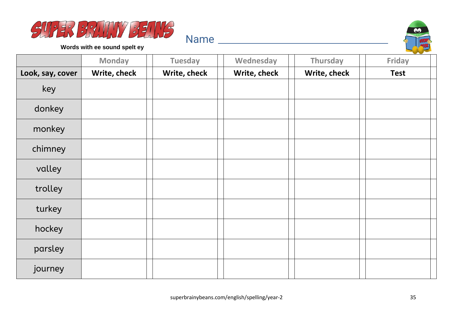



**Words with ee sound spelt ey**

|                  | <b>Monday</b> | <b>Tuesday</b> | Wednesday    | Thursday     | Friday      |
|------------------|---------------|----------------|--------------|--------------|-------------|
| Look, say, cover | Write, check  | Write, check   | Write, check | Write, check | <b>Test</b> |
| key              |               |                |              |              |             |
| donkey           |               |                |              |              |             |
| monkey           |               |                |              |              |             |
| chimney          |               |                |              |              |             |
| valley           |               |                |              |              |             |
| trolley          |               |                |              |              |             |
| turkey           |               |                |              |              |             |
| hockey           |               |                |              |              |             |
| parsley          |               |                |              |              |             |
| journey          |               |                |              |              |             |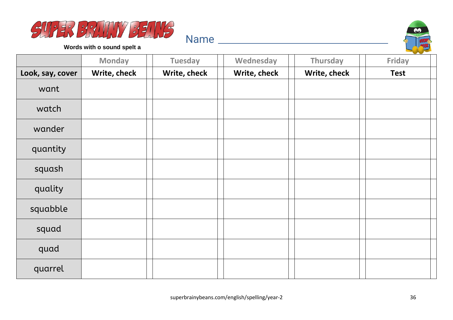



**Words with o sound spelt a**

|                  | <b>Monday</b> | <b>Tuesday</b> | Wednesday    | Thursday     | Friday      |
|------------------|---------------|----------------|--------------|--------------|-------------|
| Look, say, cover | Write, check  | Write, check   | Write, check | Write, check | <b>Test</b> |
| want             |               |                |              |              |             |
| watch            |               |                |              |              |             |
| wander           |               |                |              |              |             |
| quantity         |               |                |              |              |             |
| squash           |               |                |              |              |             |
| quality          |               |                |              |              |             |
| squabble         |               |                |              |              |             |
| squad            |               |                |              |              |             |
| quad             |               |                |              |              |             |
| quarrel          |               |                |              |              |             |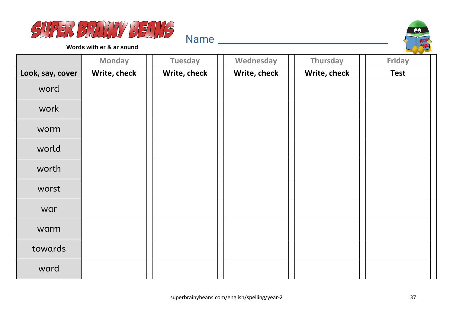



**Words with er & ar sound**

|                  | <b>Monday</b> | <b>Tuesday</b> | Wednesday    | Thursday     | Friday      |
|------------------|---------------|----------------|--------------|--------------|-------------|
| Look, say, cover | Write, check  | Write, check   | Write, check | Write, check | <b>Test</b> |
| word             |               |                |              |              |             |
| work             |               |                |              |              |             |
| worm             |               |                |              |              |             |
| world            |               |                |              |              |             |
| worth            |               |                |              |              |             |
| worst            |               |                |              |              |             |
| war              |               |                |              |              |             |
| warm             |               |                |              |              |             |
| towards          |               |                |              |              |             |
| ward             |               |                |              |              |             |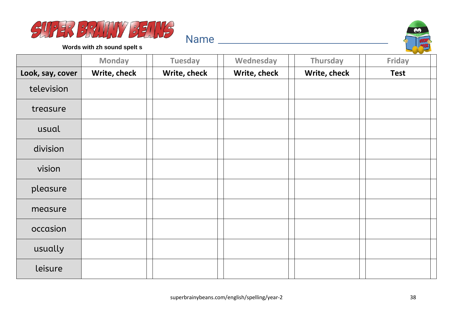



**Words with zh sound spelt s**

|                  | <b>Monday</b> | <b>Tuesday</b> | Wednesday    | Thursday     | Friday      |
|------------------|---------------|----------------|--------------|--------------|-------------|
| Look, say, cover | Write, check  | Write, check   | Write, check | Write, check | <b>Test</b> |
| television       |               |                |              |              |             |
| treasure         |               |                |              |              |             |
| usual            |               |                |              |              |             |
| division         |               |                |              |              |             |
| vision           |               |                |              |              |             |
| pleasure         |               |                |              |              |             |
| measure          |               |                |              |              |             |
| occasion         |               |                |              |              |             |
| usually          |               |                |              |              |             |
| leisure          |               |                |              |              |             |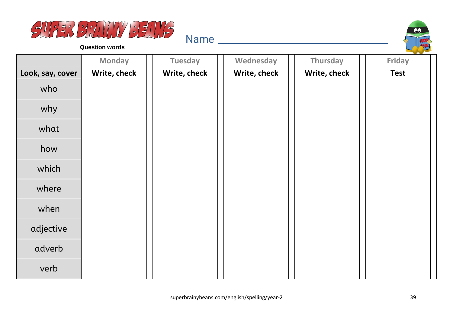



**Question words**

|                  | <b>Monday</b> | <b>Tuesday</b> | Wednesday    | <b>Thursday</b> | <b>Friday</b> |
|------------------|---------------|----------------|--------------|-----------------|---------------|
| Look, say, cover | Write, check  | Write, check   | Write, check | Write, check    | <b>Test</b>   |
| who              |               |                |              |                 |               |
| why              |               |                |              |                 |               |
| what             |               |                |              |                 |               |
| how              |               |                |              |                 |               |
| which            |               |                |              |                 |               |
| where            |               |                |              |                 |               |
| when             |               |                |              |                 |               |
| adjective        |               |                |              |                 |               |
| adverb           |               |                |              |                 |               |
| verb             |               |                |              |                 |               |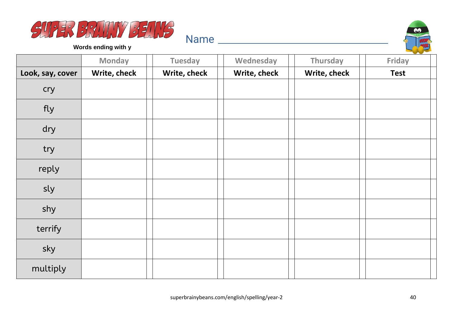



**Words ending with y**

|                  | <b>Monday</b> | <b>Tuesday</b> | Wednesday    | Thursday     | Friday      |
|------------------|---------------|----------------|--------------|--------------|-------------|
| Look, say, cover | Write, check  | Write, check   | Write, check | Write, check | <b>Test</b> |
| cry              |               |                |              |              |             |
| fly              |               |                |              |              |             |
| dry              |               |                |              |              |             |
| try              |               |                |              |              |             |
| reply            |               |                |              |              |             |
| sly              |               |                |              |              |             |
| shy              |               |                |              |              |             |
| terrify          |               |                |              |              |             |
| sky              |               |                |              |              |             |
| multiply         |               |                |              |              |             |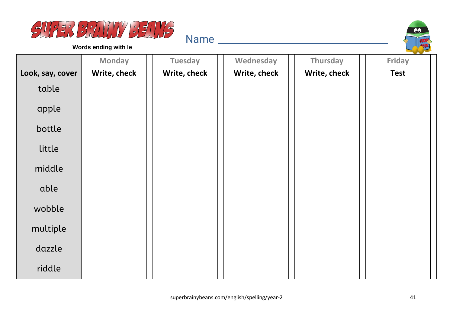



**Words ending with le**

|                  | <b>Monday</b> | <b>Tuesday</b> | Wednesday    | Thursday     | Friday      |
|------------------|---------------|----------------|--------------|--------------|-------------|
| Look, say, cover | Write, check  | Write, check   | Write, check | Write, check | <b>Test</b> |
| table            |               |                |              |              |             |
| apple            |               |                |              |              |             |
| bottle           |               |                |              |              |             |
| little           |               |                |              |              |             |
| middle           |               |                |              |              |             |
| able             |               |                |              |              |             |
| wobble           |               |                |              |              |             |
| multiple         |               |                |              |              |             |
| dazzle           |               |                |              |              |             |
| riddle           |               |                |              |              |             |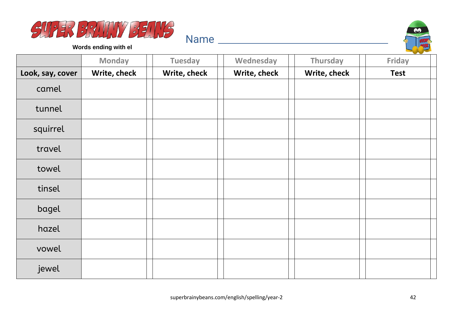



**Words ending with el**

|                  | <b>Monday</b> | <b>Tuesday</b> | Wednesday    | Thursday     | Friday      |
|------------------|---------------|----------------|--------------|--------------|-------------|
| Look, say, cover | Write, check  | Write, check   | Write, check | Write, check | <b>Test</b> |
| camel            |               |                |              |              |             |
| tunnel           |               |                |              |              |             |
| squirrel         |               |                |              |              |             |
| travel           |               |                |              |              |             |
| towel            |               |                |              |              |             |
| tinsel           |               |                |              |              |             |
| bagel            |               |                |              |              |             |
| hazel            |               |                |              |              |             |
| vowel            |               |                |              |              |             |
| jewel            |               |                |              |              |             |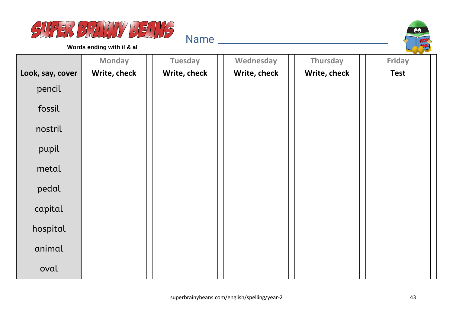



**Words ending with il & al**

|                  | <b>Monday</b> | <b>Tuesday</b> | Wednesday    | Thursday     | Friday      |
|------------------|---------------|----------------|--------------|--------------|-------------|
| Look, say, cover | Write, check  | Write, check   | Write, check | Write, check | <b>Test</b> |
| pencil           |               |                |              |              |             |
| fossil           |               |                |              |              |             |
| nostril          |               |                |              |              |             |
| pupil            |               |                |              |              |             |
| metal            |               |                |              |              |             |
| pedal            |               |                |              |              |             |
| capital          |               |                |              |              |             |
| hospital         |               |                |              |              |             |
| animal           |               |                |              |              |             |
| oval             |               |                |              |              |             |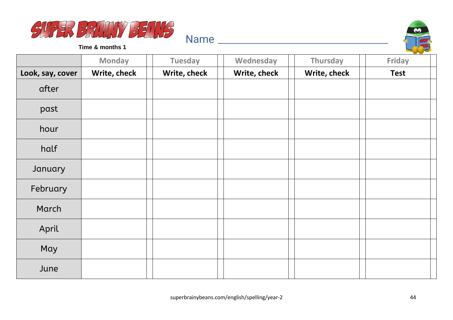



**Time & months 1**

|                  | <b>Monday</b> | <b>Tuesday</b> | Wednesday    | Thursday     | Friday      |
|------------------|---------------|----------------|--------------|--------------|-------------|
| Look, say, cover | Write, check  | Write, check   | Write, check | Write, check | <b>Test</b> |
| after            |               |                |              |              |             |
| past             |               |                |              |              |             |
| hour             |               |                |              |              |             |
| half             |               |                |              |              |             |
| January          |               |                |              |              |             |
| February         |               |                |              |              |             |
| March            |               |                |              |              |             |
| April            |               |                |              |              |             |
| May              |               |                |              |              |             |
| June             |               |                |              |              |             |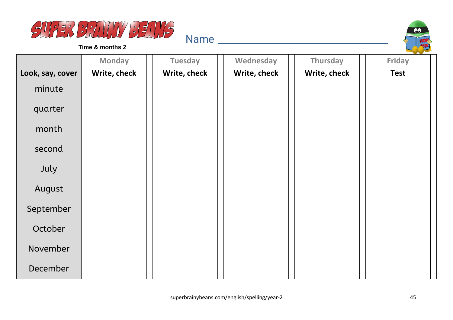



**Time & months 2**

|                  | <b>Monday</b> | <b>Tuesday</b> | Wednesday    | Thursday     | <b>Friday</b> |
|------------------|---------------|----------------|--------------|--------------|---------------|
| Look, say, cover | Write, check  | Write, check   | Write, check | Write, check | <b>Test</b>   |
| minute           |               |                |              |              |               |
| quarter          |               |                |              |              |               |
| month            |               |                |              |              |               |
| second           |               |                |              |              |               |
| July             |               |                |              |              |               |
| August           |               |                |              |              |               |
| September        |               |                |              |              |               |
| October          |               |                |              |              |               |
| November         |               |                |              |              |               |
| December         |               |                |              |              |               |